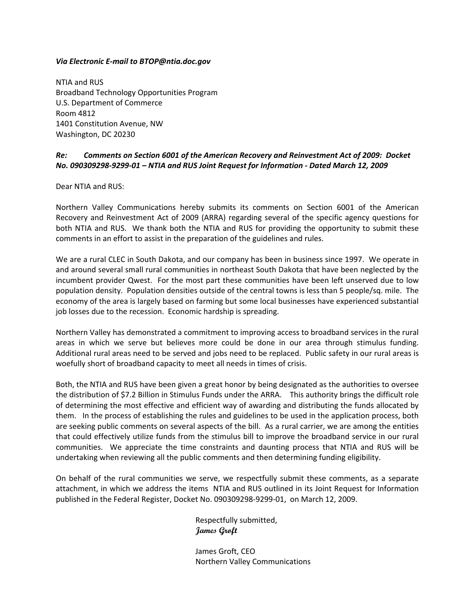#### *Via Electronic E‐mail to BTOP@ntia.doc.gov*

NTIA and RUS Broadband Technology Opportunities Program U.S. Department of Commerce Room 4812 1401 Constitution Avenue, NW Washington, DC 20230

# *Re: Comments on Section 6001 of the American Recovery and Reinvestment Act of 2009: Docket* No. 090309298-9299-01 - NTIA and RUS Joint Request for Information - Dated March 12, 2009

Dear NTIA and RUS:

Northern Valley Communications hereby submits its comments on Section 6001 of the American Recovery and Reinvestment Act of 2009 (ARRA) regarding several of the specific agency questions for both NTIA and RUS. We thank both the NTIA and RUS for providing the opportunity to submit these comments in an effort to assist in the preparation of the guidelines and rules.

We are a rural CLEC in South Dakota, and our company has been in business since 1997. We operate in and around several small rural communities in northeast South Dakota that have been neglected by the incumbent provider Qwest. For the most part these communities have been left unserved due to low population density. Population densities outside of the central towns is less than 5 people/sq. mile. The economy of the area is largely based on farming but some local businesses have experienced substantial job losses due to the recession. Economic hardship is spreading.

Northern Valley has demonstrated a commitment to improving access to broadband services in the rural areas in which we serve but believes more could be done in our area through stimulus funding. Additional rural areas need to be served and jobs need to be replaced. Public safety in our rural areas is woefully short of broadband capacity to meet all needs in times of crisis.

Both, the NTIA and RUS have been given a great honor by being designated as the authorities to oversee the distribution of \$7.2 Billion in Stimulus Funds under the ARRA. This authority brings the difficult role of determining the most effective and efficient way of awarding and distributing the funds allocated by them. In the process of establishing the rules and guidelines to be used in the application process, both are seeking public comments on several aspects of the bill. As a rural carrier, we are among the entities that could effectively utilize funds from the stimulus bill to improve the broadband service in our rural communities. We appreciate the time constraints and daunting process that NTIA and RUS will be undertaking when reviewing all the public comments and then determining funding eligibility.

On behalf of the rural communities we serve, we respectfully submit these comments, as a separate attachment, in which we address the items NTIA and RUS outlined in its Joint Request for Information published in the Federal Register, Docket No. 090309298‐9299‐01, on March 12, 2009.

> Respectfully submitted, **James Groft**

 James Groft, CEO Northern Valley Communications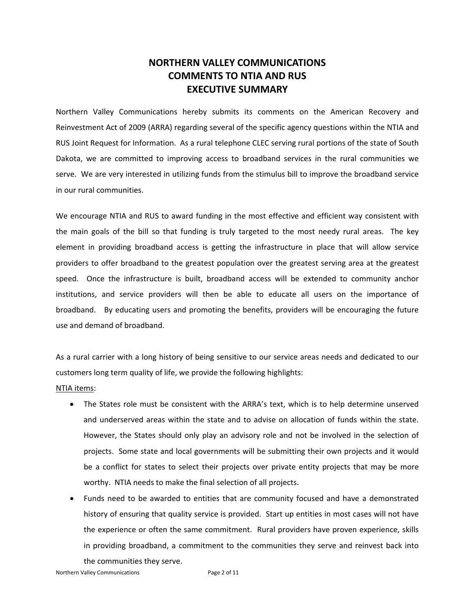# **NORTHERN VALLEY COMMUNICATIONS COMMENTS TO NTIA AND RUS EXECUTIVE SUMMARY**

Northern Valley Communications hereby submits its comments on the American Recovery and Reinvestment Act of 2009 (ARRA) regarding several of the specific agency questions within the NTIA and RUS Joint Request for Information. As a rural telephone CLEC serving rural portions of the state of South Dakota, we are committed to improving access to broadband services in the rural communities we serve. We are very interested in utilizing funds from the stimulus bill to improve the broadband service in our rural communities.

We encourage NTIA and RUS to award funding in the most effective and efficient way consistent with the main goals of the bill so that funding is truly targeted to the most needy rural areas. The key element in providing broadband access is getting the infrastructure in place that will allow service providers to offer broadband to the greatest population over the greatest serving area at the greatest speed. Once the infrastructure is built, broadband access will be extended to community anchor institutions, and service providers will then be able to educate all users on the importance of broadband. By educating users and promoting the benefits, providers will be encouraging the future use and demand of broadband.

As a rural carrier with a long history of being sensitive to our service areas needs and dedicated to our customers long term quality of life, we provide the following highlights:

#### NTIA items:

- The States role must be consistent with the ARRA's text, which is to help determine unserved and underserved areas within the state and to advise on allocation of funds within the state. However, the States should only play an advisory role and not be involved in the selection of projects. Some state and local governments will be submitting their own projects and it would be a conflict for states to select their projects over private entity projects that may be more worthy. NTIA needs to make the final selection of all projects.
- Funds need to be awarded to entities that are community focused and have a demonstrated history of ensuring that quality service is provided. Start up entities in most cases will not have the experience or often the same commitment. Rural providers have proven experience, skills in providing broadband, a commitment to the communities they serve and reinvest back into the communities they serve.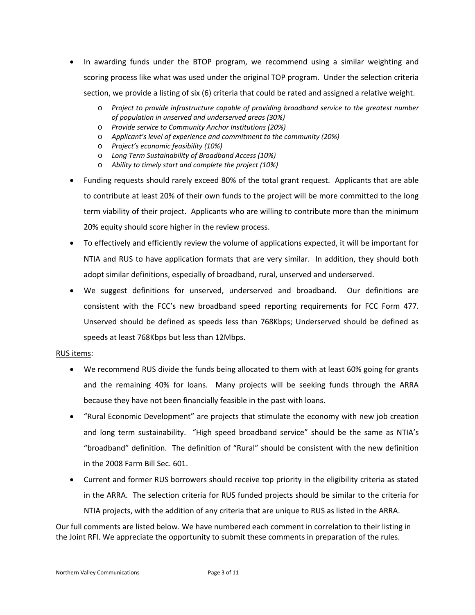- In awarding funds under the BTOP program, we recommend using a similar weighting and scoring process like what was used under the original TOP program. Under the selection criteria section, we provide a listing of six (6) criteria that could be rated and assigned a relative weight.
	- o *Project to provide infrastructure capable of providing broadband service to the greatest number of population in unserved and underserved areas (30%)*
	- o *Provide service to Community Anchor Institutions (20%)*
	- o *Applicant's level of experience and commitment to the community (20%)*
	- o *Project's economic feasibility (10%)*
	- o *Long Term Sustainability of Broadband Access (10%)*
	- o *Ability to timely start and complete the project (10%)*
- Funding requests should rarely exceed 80% of the total grant request. Applicants that are able to contribute at least 20% of their own funds to the project will be more committed to the long term viability of their project. Applicants who are willing to contribute more than the minimum 20% equity should score higher in the review process.
- To effectively and efficiently review the volume of applications expected, it will be important for NTIA and RUS to have application formats that are very similar. In addition, they should both adopt similar definitions, especially of broadband, rural, unserved and underserved.
- We suggest definitions for unserved, underserved and broadband. Our definitions are consistent with the FCC's new broadband speed reporting requirements for FCC Form 477. Unserved should be defined as speeds less than 768Kbps; Underserved should be defined as speeds at least 768Kbps but less than 12Mbps.

## RUS items:

- We recommend RUS divide the funds being allocated to them with at least 60% going for grants and the remaining 40% for loans. Many projects will be seeking funds through the ARRA because they have not been financially feasible in the past with loans.
- "Rural Economic Development" are projects that stimulate the economy with new job creation and long term sustainability. "High speed broadband service" should be the same as NTIA's "broadband" definition. The definition of "Rural" should be consistent with the new definition in the 2008 Farm Bill Sec. 601.
- Current and former RUS borrowers should receive top priority in the eligibility criteria as stated in the ARRA. The selection criteria for RUS funded projects should be similar to the criteria for NTIA projects, with the addition of any criteria that are unique to RUS as listed in the ARRA.

Our full comments are listed below. We have numbered each comment in correlation to their listing in the Joint RFI. We appreciate the opportunity to submit these comments in preparation of the rules.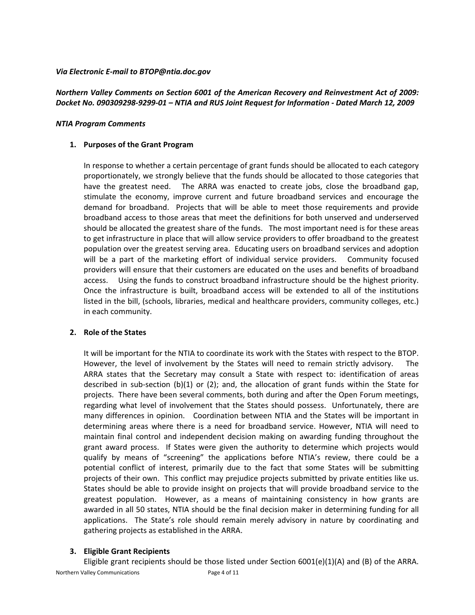#### *Via Electronic E‐mail to BTOP@ntia.doc.gov*

## *Northern Valley Comments on Section 6001 of the American Recovery and Reinvestment Act of 2009:*  Docket No. 090309298-9299-01 - NTIA and RUS Joint Request for Information - Dated March 12, 2009

#### *NTIA Program Comments*

#### **1. Purposes of the Grant Program**

In response to whether a certain percentage of grant funds should be allocated to each category proportionately, we strongly believe that the funds should be allocated to those categories that have the greatest need. The ARRA was enacted to create jobs, close the broadband gap, stimulate the economy, improve current and future broadband services and encourage the demand for broadband. Projects that will be able to meet those requirements and provide broadband access to those areas that meet the definitions for both unserved and underserved should be allocated the greatest share of the funds. The most important need is for these areas to get infrastructure in place that will allow service providers to offer broadband to the greatest population over the greatest serving area. Educating users on broadband services and adoption will be a part of the marketing effort of individual service providers. Community focused providers will ensure that their customers are educated on the uses and benefits of broadband access. Using the funds to construct broadband infrastructure should be the highest priority. Once the infrastructure is built, broadband access will be extended to all of the institutions listed in the bill, (schools, libraries, medical and healthcare providers, community colleges, etc.) in each community.

## **2. Role of the States**

It will be important for the NTIA to coordinate its work with the States with respect to the BTOP. However, the level of involvement by the States will need to remain strictly advisory. The ARRA states that the Secretary may consult a State with respect to: identification of areas described in sub‐section (b)(1) or (2); and, the allocation of grant funds within the State for projects. There have been several comments, both during and after the Open Forum meetings, regarding what level of involvement that the States should possess. Unfortunately, there are many differences in opinion. Coordination between NTIA and the States will be important in determining areas where there is a need for broadband service. However, NTIA will need to maintain final control and independent decision making on awarding funding throughout the grant award process. If States were given the authority to determine which projects would qualify by means of "screening" the applications before NTIA's review, there could be a potential conflict of interest, primarily due to the fact that some States will be submitting projects of their own. This conflict may prejudice projects submitted by private entities like us. States should be able to provide insight on projects that will provide broadband service to the greatest population. However, as a means of maintaining consistency in how grants are awarded in all 50 states, NTIA should be the final decision maker in determining funding for all applications. The State's role should remain merely advisory in nature by coordinating and gathering projects as established in the ARRA.

## **3. Eligible Grant Recipients**

Eligible grant recipients should be those listed under Section  $6001(e)(1)(A)$  and (B) of the ARRA.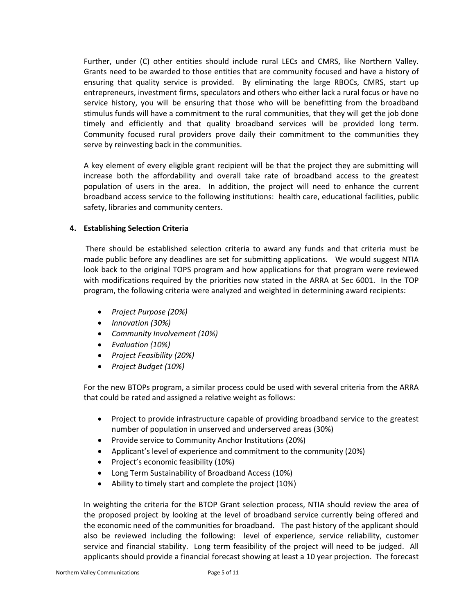Further, under (C) other entities should include rural LECs and CMRS, like Northern Valley. Grants need to be awarded to those entities that are community focused and have a history of ensuring that quality service is provided. By eliminating the large RBOCs, CMRS, start up entrepreneurs, investment firms, speculators and others who either lack a rural focus or have no service history, you will be ensuring that those who will be benefitting from the broadband stimulus funds will have a commitment to the rural communities, that they will get the job done timely and efficiently and that quality broadband services will be provided long term. Community focused rural providers prove daily their commitment to the communities they serve by reinvesting back in the communities.

A key element of every eligible grant recipient will be that the project they are submitting will increase both the affordability and overall take rate of broadband access to the greatest population of users in the area. In addition, the project will need to enhance the current broadband access service to the following institutions: health care, educational facilities, public safety, libraries and community centers.

## **4. Establishing Selection Criteria**

There should be established selection criteria to award any funds and that criteria must be made public before any deadlines are set for submitting applications. We would suggest NTIA look back to the original TOPS program and how applications for that program were reviewed with modifications required by the priorities now stated in the ARRA at Sec 6001. In the TOP program, the following criteria were analyzed and weighted in determining award recipients:

- *Project Purpose (20%)*
- *Innovation (30%)*
- *Community Involvement (10%)*
- *Evaluation (10%)*
- *Project Feasibility (20%)*
- *Project Budget (10%)*

For the new BTOPs program, a similar process could be used with several criteria from the ARRA that could be rated and assigned a relative weight as follows:

- Project to provide infrastructure capable of providing broadband service to the greatest number of population in unserved and underserved areas (30%)
- Provide service to Community Anchor Institutions (20%)
- Applicant's level of experience and commitment to the community (20%)
- Project's economic feasibility (10%)
- Long Term Sustainability of Broadband Access (10%)
- Ability to timely start and complete the project (10%)

In weighting the criteria for the BTOP Grant selection process, NTIA should review the area of the proposed project by looking at the level of broadband service currently being offered and the economic need of the communities for broadband. The past history of the applicant should also be reviewed including the following: level of experience, service reliability, customer service and financial stability. Long term feasibility of the project will need to be judged. All applicants should provide a financial forecast showing at least a 10 year projection. The forecast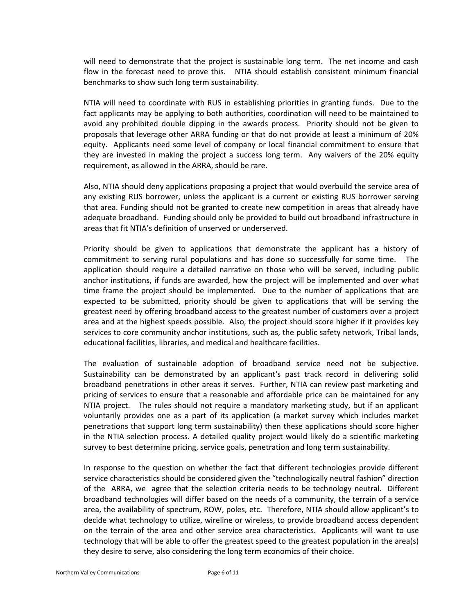will need to demonstrate that the project is sustainable long term. The net income and cash flow in the forecast need to prove this. NTIA should establish consistent minimum financial benchmarks to show such long term sustainability.

NTIA will need to coordinate with RUS in establishing priorities in granting funds. Due to the fact applicants may be applying to both authorities, coordination will need to be maintained to avoid any prohibited double dipping in the awards process. Priority should not be given to proposals that leverage other ARRA funding or that do not provide at least a minimum of 20% equity. Applicants need some level of company or local financial commitment to ensure that they are invested in making the project a success long term. Any waivers of the 20% equity requirement, as allowed in the ARRA, should be rare.

Also, NTIA should deny applications proposing a project that would overbuild the service area of any existing RUS borrower, unless the applicant is a current or existing RUS borrower serving that area. Funding should not be granted to create new competition in areas that already have adequate broadband. Funding should only be provided to build out broadband infrastructure in areas that fit NTIA's definition of unserved or underserved.

Priority should be given to applications that demonstrate the applicant has a history of commitment to serving rural populations and has done so successfully for some time. The application should require a detailed narrative on those who will be served, including public anchor institutions, if funds are awarded, how the project will be implemented and over what time frame the project should be implemented. Due to the number of applications that are expected to be submitted, priority should be given to applications that will be serving the greatest need by offering broadband access to the greatest number of customers over a project area and at the highest speeds possible. Also, the project should score higher if it provides key services to core community anchor institutions, such as, the public safety network, Tribal lands, educational facilities, libraries, and medical and healthcare facilities.

The evaluation of sustainable adoption of broadband service need not be subjective. Sustainability can be demonstrated by an applicant's past track record in delivering solid broadband penetrations in other areas it serves. Further, NTIA can review past marketing and pricing of services to ensure that a reasonable and affordable price can be maintained for any NTIA project. The rules should not require a mandatory marketing study, but if an applicant voluntarily provides one as a part of its application (a market survey which includes market penetrations that support long term sustainability) then these applications should score higher in the NTIA selection process. A detailed quality project would likely do a scientific marketing survey to best determine pricing, service goals, penetration and long term sustainability.

In response to the question on whether the fact that different technologies provide different service characteristics should be considered given the "technologically neutral fashion" direction of the ARRA, we agree that the selection criteria needs to be technology neutral. Different broadband technologies will differ based on the needs of a community, the terrain of a service area, the availability of spectrum, ROW, poles, etc. Therefore, NTIA should allow applicant's to decide what technology to utilize, wireline or wireless, to provide broadband access dependent on the terrain of the area and other service area characteristics. Applicants will want to use technology that will be able to offer the greatest speed to the greatest population in the area(s) they desire to serve, also considering the long term economics of their choice.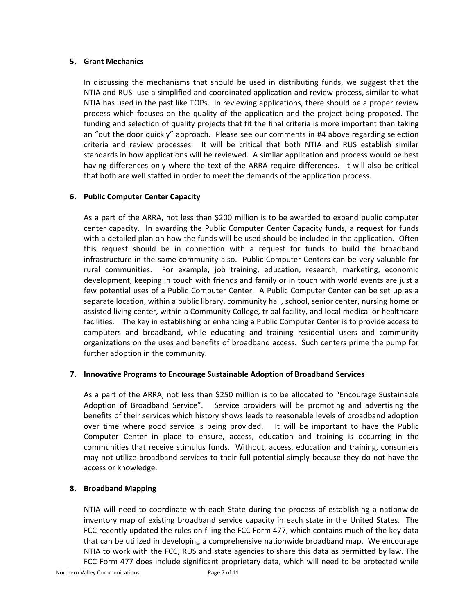## **5. Grant Mechanics**

In discussing the mechanisms that should be used in distributing funds, we suggest that the NTIA and RUS use a simplified and coordinated application and review process, similar to what NTIA has used in the past like TOPs. In reviewing applications, there should be a proper review process which focuses on the quality of the application and the project being proposed. The funding and selection of quality projects that fit the final criteria is more important than taking an "out the door quickly" approach. Please see our comments in #4 above regarding selection criteria and review processes. It will be critical that both NTIA and RUS establish similar standards in how applications will be reviewed. A similar application and process would be best having differences only where the text of the ARRA require differences. It will also be critical that both are well staffed in order to meet the demands of the application process.

## **6. Public Computer Center Capacity**

As a part of the ARRA, not less than \$200 million is to be awarded to expand public computer center capacity. In awarding the Public Computer Center Capacity funds, a request for funds with a detailed plan on how the funds will be used should be included in the application. Often this request should be in connection with a request for funds to build the broadband infrastructure in the same community also. Public Computer Centers can be very valuable for rural communities. For example, job training, education, research, marketing, economic development, keeping in touch with friends and family or in touch with world events are just a few potential uses of a Public Computer Center. A Public Computer Center can be set up as a separate location, within a public library, community hall, school, senior center, nursing home or assisted living center, within a Community College, tribal facility, and local medical or healthcare facilities. The key in establishing or enhancing a Public Computer Center is to provide access to computers and broadband, while educating and training residential users and community organizations on the uses and benefits of broadband access. Such centers prime the pump for further adoption in the community.

## **7. Innovative Programs to Encourage Sustainable Adoption of Broadband Services**

As a part of the ARRA, not less than \$250 million is to be allocated to "Encourage Sustainable Adoption of Broadband Service". Service providers will be promoting and advertising the benefits of their services which history shows leads to reasonable levels of broadband adoption over time where good service is being provided. It will be important to have the Public Computer Center in place to ensure, access, education and training is occurring in the communities that receive stimulus funds. Without, access, education and training, consumers may not utilize broadband services to their full potential simply because they do not have the access or knowledge.

## **8. Broadband Mapping**

NTIA will need to coordinate with each State during the process of establishing a nationwide inventory map of existing broadband service capacity in each state in the United States. The FCC recently updated the rules on filing the FCC Form 477, which contains much of the key data that can be utilized in developing a comprehensive nationwide broadband map. We encourage NTIA to work with the FCC, RUS and state agencies to share this data as permitted by law. The FCC Form 477 does include significant proprietary data, which will need to be protected while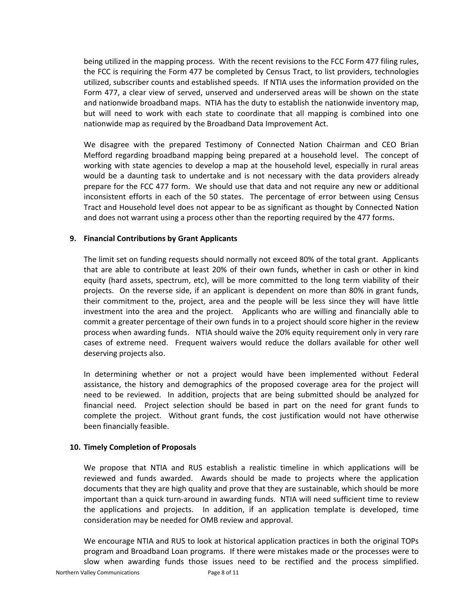being utilized in the mapping process. With the recent revisions to the FCC Form 477 filing rules, the FCC is requiring the Form 477 be completed by Census Tract, to list providers, technologies utilized, subscriber counts and established speeds. If NTIA uses the information provided on the Form 477, a clear view of served, unserved and underserved areas will be shown on the state and nationwide broadband maps. NTIA has the duty to establish the nationwide inventory map, but will need to work with each state to coordinate that all mapping is combined into one nationwide map as required by the Broadband Data Improvement Act.

We disagree with the prepared Testimony of Connected Nation Chairman and CEO Brian Mefford regarding broadband mapping being prepared at a household level. The concept of working with state agencies to develop a map at the household level, especially in rural areas would be a daunting task to undertake and is not necessary with the data providers already prepare for the FCC 477 form. We should use that data and not require any new or additional inconsistent efforts in each of the 50 states. The percentage of error between using Census Tract and Household level does not appear to be as significant as thought by Connected Nation and does not warrant using a process other than the reporting required by the 477 forms.

#### **9. Financial Contributions by Grant Applicants**

The limit set on funding requests should normally not exceed 80% of the total grant. Applicants that are able to contribute at least 20% of their own funds, whether in cash or other in kind equity (hard assets, spectrum, etc), will be more committed to the long term viability of their projects. On the reverse side, if an applicant is dependent on more than 80% in grant funds, their commitment to the, project, area and the people will be less since they will have little investment into the area and the project. Applicants who are willing and financially able to commit a greater percentage of their own funds in to a project should score higher in the review process when awarding funds. NTIA should waive the 20% equity requirement only in very rare cases of extreme need. Frequent waivers would reduce the dollars available for other well deserving projects also.

In determining whether or not a project would have been implemented without Federal assistance, the history and demographics of the proposed coverage area for the project will need to be reviewed. In addition, projects that are being submitted should be analyzed for financial need. Project selection should be based in part on the need for grant funds to complete the project. Without grant funds, the cost justification would not have otherwise been financially feasible.

## **10. Timely Completion of Proposals**

We propose that NTIA and RUS establish a realistic timeline in which applications will be reviewed and funds awarded. Awards should be made to projects where the application documents that they are high quality and prove that they are sustainable, which should be more important than a quick turn-around in awarding funds. NTIA will need sufficient time to review the applications and projects. In addition, if an application template is developed, time consideration may be needed for OMB review and approval.

We encourage NTIA and RUS to look at historical application practices in both the original TOPs program and Broadband Loan programs. If there were mistakes made or the processes were to slow when awarding funds those issues need to be rectified and the process simplified.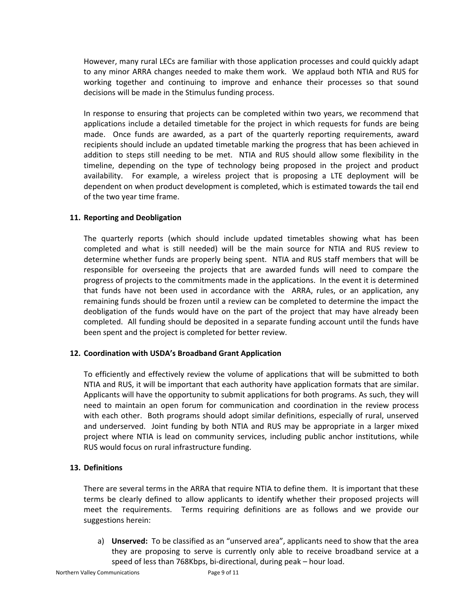However, many rural LECs are familiar with those application processes and could quickly adapt to any minor ARRA changes needed to make them work. We applaud both NTIA and RUS for working together and continuing to improve and enhance their processes so that sound decisions will be made in the Stimulus funding process.

In response to ensuring that projects can be completed within two years, we recommend that applications include a detailed timetable for the project in which requests for funds are being made. Once funds are awarded, as a part of the quarterly reporting requirements, award recipients should include an updated timetable marking the progress that has been achieved in addition to steps still needing to be met. NTIA and RUS should allow some flexibility in the timeline, depending on the type of technology being proposed in the project and product availability. For example, a wireless project that is proposing a LTE deployment will be dependent on when product development is completed, which is estimated towards the tail end of the two year time frame.

## **11. Reporting and Deobligation**

The quarterly reports (which should include updated timetables showing what has been completed and what is still needed) will be the main source for NTIA and RUS review to determine whether funds are properly being spent. NTIA and RUS staff members that will be responsible for overseeing the projects that are awarded funds will need to compare the progress of projects to the commitments made in the applications. In the event it is determined that funds have not been used in accordance with the ARRA, rules, or an application, any remaining funds should be frozen until a review can be completed to determine the impact the deobligation of the funds would have on the part of the project that may have already been completed. All funding should be deposited in a separate funding account until the funds have been spent and the project is completed for better review.

## **12. Coordination with USDA's Broadband Grant Application**

To efficiently and effectively review the volume of applications that will be submitted to both NTIA and RUS, it will be important that each authority have application formats that are similar. Applicants will have the opportunity to submit applications for both programs. As such, they will need to maintain an open forum for communication and coordination in the review process with each other. Both programs should adopt similar definitions, especially of rural, unserved and underserved. Joint funding by both NTIA and RUS may be appropriate in a larger mixed project where NTIA is lead on community services, including public anchor institutions, while RUS would focus on rural infrastructure funding.

## **13. Definitions**

There are several terms in the ARRA that require NTIA to define them. It is important that these terms be clearly defined to allow applicants to identify whether their proposed projects will meet the requirements. Terms requiring definitions are as follows and we provide our suggestions herein:

a) **Unserved:** To be classified as an "unserved area", applicants need to show that the area they are proposing to serve is currently only able to receive broadband service at a speed of less than 768Kbps, bi-directional, during peak – hour load.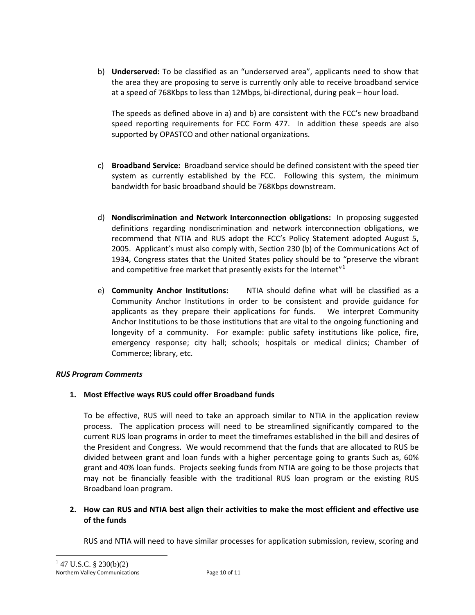b) **Underserved:** To be classified as an "underserved area", applicants need to show that the area they are proposing to serve is currently only able to receive broadband service at a speed of 768Kbps to less than 12Mbps, bi-directional, during peak – hour load.

The speeds as defined above in a) and b) are consistent with the FCC's new broadband speed reporting requirements for FCC Form 477. In addition these speeds are also supported by OPASTCO and other national organizations.

- c) **Broadband Service:** Broadband service should be defined consistent with the speed tier system as currently established by the FCC. Following this system, the minimum bandwidth for basic broadband should be 768Kbps downstream.
- d) **Nondiscrimination and Network Interconnection obligations:** In proposing suggested definitions regarding nondiscrimination and network interconnection obligations, we recommend that NTIA and RUS adopt the FCC's Policy Statement adopted August 5, 2005. Applicant's must also comply with, Section 230 (b) of the Communications Act of 1934, Congress states that the United States policy should be to "preserve the vibrant and competitive free market that presently exists for the Internet" $1$
- e) **Community Anchor Institutions:**  NTIA should define what will be classified as a Community Anchor Institutions in order to be consistent and provide guidance for applicants as they prepare their applications for funds. We interpret Community Anchor Institutions to be those institutions that are vital to the ongoing functioning and longevity of a community. For example: public safety institutions like police, fire, emergency response; city hall; schools; hospitals or medical clinics; Chamber of Commerce; library, etc.

# *RUS Program Comments*

# **1. Most Effective ways RUS could offer Broadband funds**

To be effective, RUS will need to take an approach similar to NTIA in the application review process. The application process will need to be streamlined significantly compared to the current RUS loan programs in order to meet the timeframes established in the bill and desires of the President and Congress. We would recommend that the funds that are allocated to RUS be divided between grant and loan funds with a higher percentage going to grants Such as, 60% grant and 40% loan funds. Projects seeking funds from NTIA are going to be those projects that may not be financially feasible with the traditional RUS loan program or the existing RUS Broadband loan program.

# **2. How can RUS and NTIA best align their activities to make the most efficient and effective use of the funds**

RUS and NTIA will need to have similar processes for application submission, review, scoring and

<span id="page-9-0"></span>1